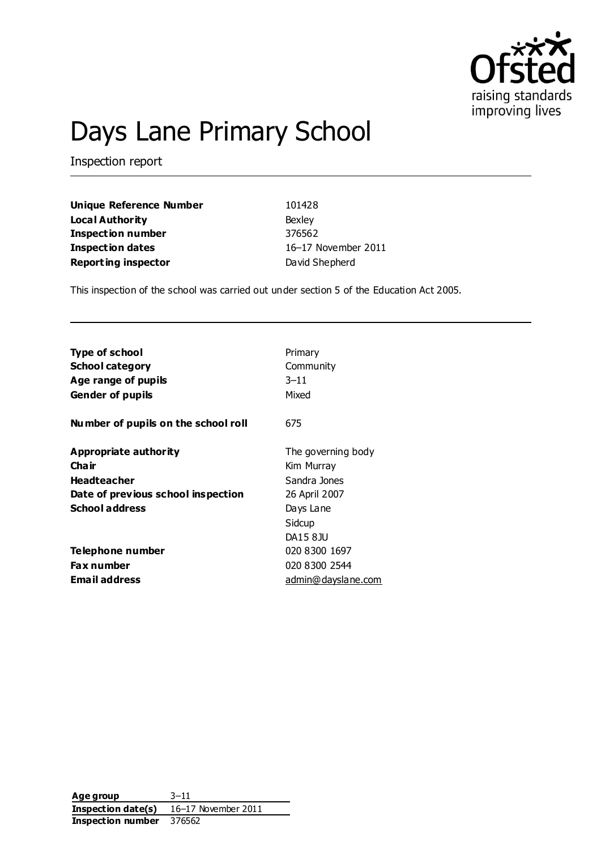

# Days Lane Primary School

Inspection report

**Unique Reference Number** 101428 **Local Authority** Bexley **Inspection number** 376562 **Inspection dates** 16–17 November 2011 **Reporting inspector** David Shepherd

This inspection of the school was carried out under section 5 of the Education Act 2005.

| <b>Type of school</b>                                                                                                | Primary                                                                                              |
|----------------------------------------------------------------------------------------------------------------------|------------------------------------------------------------------------------------------------------|
| <b>School category</b>                                                                                               | Community                                                                                            |
| Age range of pupils                                                                                                  | $3 - 11$                                                                                             |
| <b>Gender of pupils</b>                                                                                              | Mixed                                                                                                |
| Number of pupils on the school roll                                                                                  | 675                                                                                                  |
| Appropriate authority<br>Cha ir<br><b>Headteacher</b><br>Date of previous school inspection<br><b>School address</b> | The governing body<br>Kim Murray<br>Sandra Jones<br>26 April 2007<br>Days Lane<br>Sidcup<br>DA15 8JU |
| Telephone number                                                                                                     | 020 8300 1697                                                                                        |
| <b>Fax number</b>                                                                                                    | 020 8300 2544                                                                                        |
| Email address                                                                                                        | admin@dayslane.com                                                                                   |

**Age group** 3–11 **Inspection date(s)** 16–17 November 2011 **Inspection number** 376562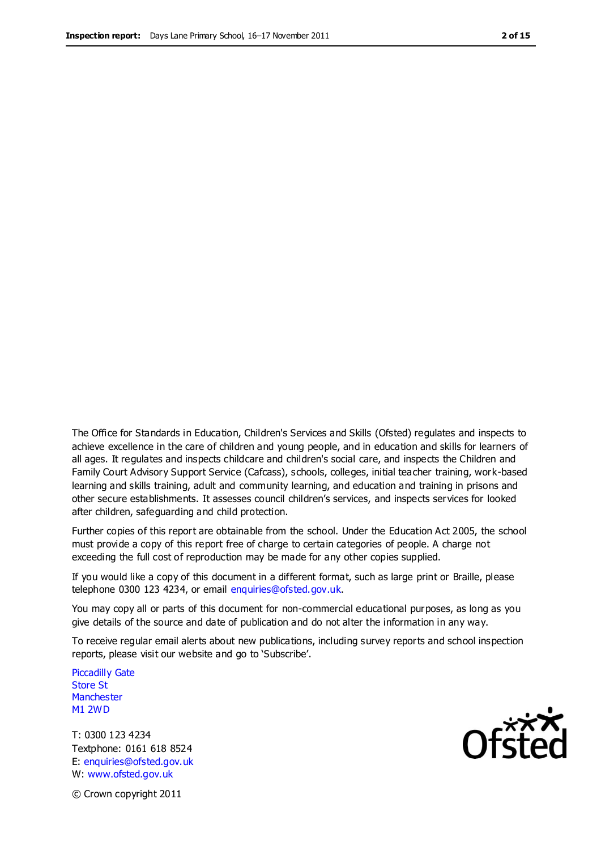The Office for Standards in Education, Children's Services and Skills (Ofsted) regulates and inspects to achieve excellence in the care of children and young people, and in education and skills for learners of all ages. It regulates and inspects childcare and children's social care, and inspects the Children and Family Court Advisory Support Service (Cafcass), schools, colleges, initial teacher training, work-based learning and skills training, adult and community learning, and education and training in prisons and other secure establishments. It assesses council children's services, and inspects services for looked after children, safeguarding and child protection.

Further copies of this report are obtainable from the school. Under the Education Act 2005, the school must provide a copy of this report free of charge to certain categories of people. A charge not exceeding the full cost of reproduction may be made for any other copies supplied.

If you would like a copy of this document in a different format, such as large print or Braille, please telephone 0300 123 4234, or email enquiries@ofsted.gov.uk.

You may copy all or parts of this document for non-commercial educational purposes, as long as you give details of the source and date of publication and do not alter the information in any way.

To receive regular email alerts about new publications, including survey reports and school inspection reports, please visit our website and go to 'Subscribe'.

Piccadilly Gate Store St **Manchester** M1 2WD

T: 0300 123 4234 Textphone: 0161 618 8524 E: enquiries@ofsted.gov.uk W: www.ofsted.gov.uk

**Ofsted** 

© Crown copyright 2011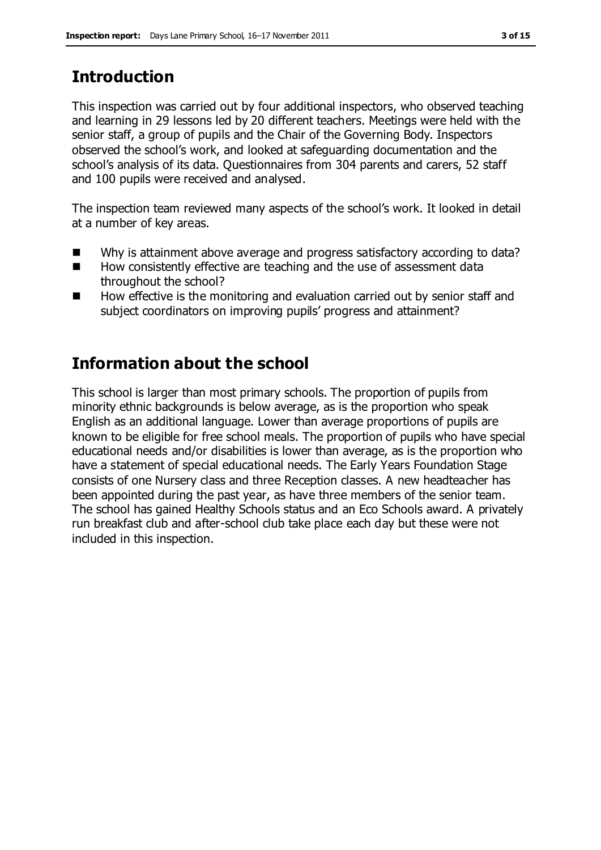# **Introduction**

This inspection was carried out by four additional inspectors, who observed teaching and learning in 29 lessons led by 20 different teachers. Meetings were held with the senior staff, a group of pupils and the Chair of the Governing Body. Inspectors observed the school's work, and looked at safeguarding documentation and the school's analysis of its data. Questionnaires from 304 parents and carers, 52 staff and 100 pupils were received and analysed.

The inspection team reviewed many aspects of the school's work. It looked in detail at a number of key areas.

- Why is attainment above average and progress satisfactory according to data?
- How consistently effective are teaching and the use of assessment data throughout the school?
- $\blacksquare$  How effective is the monitoring and evaluation carried out by senior staff and subject coordinators on improving pupils' progress and attainment?

## **Information about the school**

This school is larger than most primary schools. The proportion of pupils from minority ethnic backgrounds is below average, as is the proportion who speak English as an additional language. Lower than average proportions of pupils are known to be eligible for free school meals. The proportion of pupils who have special educational needs and/or disabilities is lower than average, as is the proportion who have a statement of special educational needs. The Early Years Foundation Stage consists of one Nursery class and three Reception classes. A new headteacher has been appointed during the past year, as have three members of the senior team. The school has gained Healthy Schools status and an Eco Schools award. A privately run breakfast club and after-school club take place each day but these were not included in this inspection.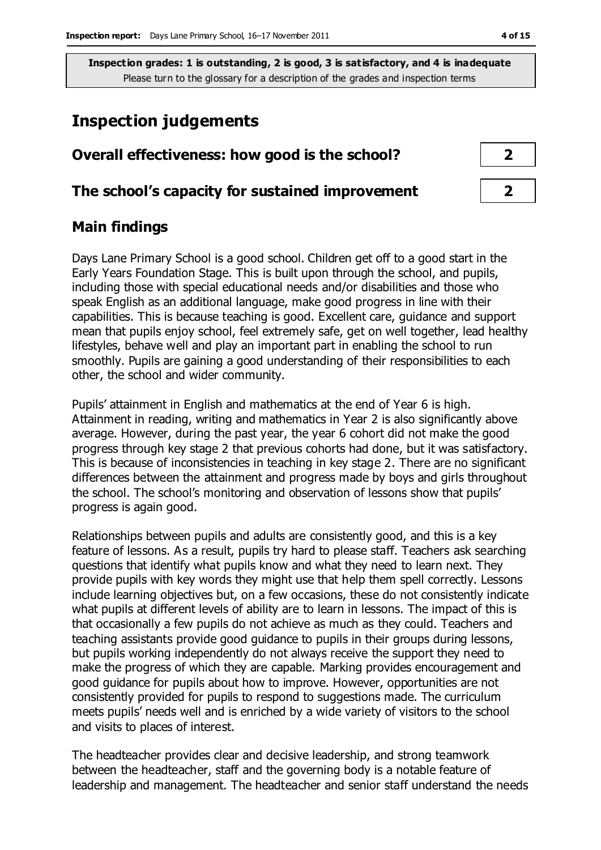### **Inspection judgements**

| Overall effectiveness: how good is the school?  |  |
|-------------------------------------------------|--|
| The school's capacity for sustained improvement |  |

#### **Main findings**

Days Lane Primary School is a good school. Children get off to a good start in the Early Years Foundation Stage. This is built upon through the school, and pupils, including those with special educational needs and/or disabilities and those who speak English as an additional language, make good progress in line with their capabilities. This is because teaching is good. Excellent care, guidance and support mean that pupils enjoy school, feel extremely safe, get on well together, lead healthy lifestyles, behave well and play an important part in enabling the school to run smoothly. Pupils are gaining a good understanding of their responsibilities to each other, the school and wider community.

Pupils' attainment in English and mathematics at the end of Year 6 is high. Attainment in reading, writing and mathematics in Year 2 is also significantly above average. However, during the past year, the year 6 cohort did not make the good progress through key stage 2 that previous cohorts had done, but it was satisfactory. This is because of inconsistencies in teaching in key stage 2. There are no significant differences between the attainment and progress made by boys and girls throughout the school. The school's monitoring and observation of lessons show that pupils' progress is again good.

Relationships between pupils and adults are consistently good, and this is a key feature of lessons. As a result, pupils try hard to please staff. Teachers ask searching questions that identify what pupils know and what they need to learn next. They provide pupils with key words they might use that help them spell correctly. Lessons include learning objectives but, on a few occasions, these do not consistently indicate what pupils at different levels of ability are to learn in lessons. The impact of this is that occasionally a few pupils do not achieve as much as they could. Teachers and teaching assistants provide good guidance to pupils in their groups during lessons, but pupils working independently do not always receive the support they need to make the progress of which they are capable. Marking provides encouragement and good guidance for pupils about how to improve. However, opportunities are not consistently provided for pupils to respond to suggestions made. The curriculum meets pupils' needs well and is enriched by a wide variety of visitors to the school and visits to places of interest.

The headteacher provides clear and decisive leadership, and strong teamwork between the headteacher, staff and the governing body is a notable feature of leadership and management. The headteacher and senior staff understand the needs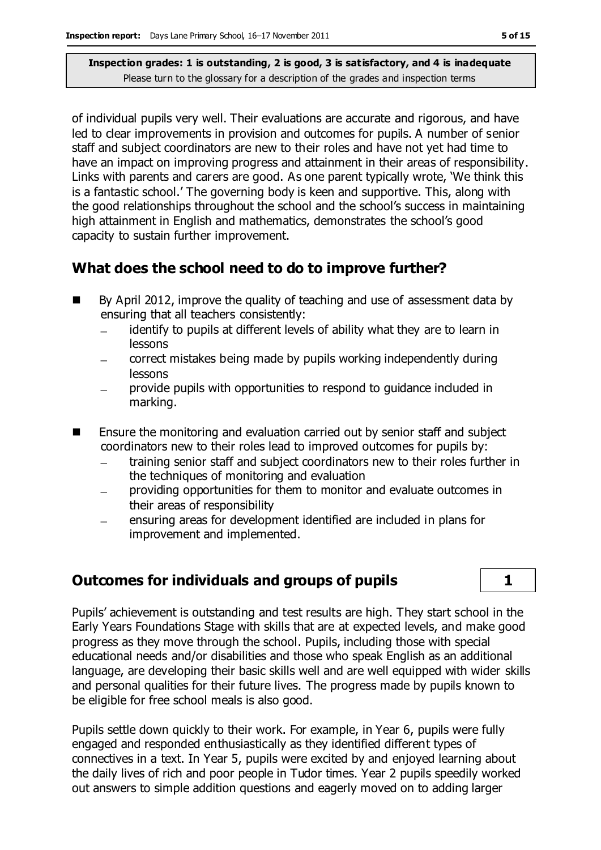of individual pupils very well. Their evaluations are accurate and rigorous, and have led to clear improvements in provision and outcomes for pupils. A number of senior staff and subject coordinators are new to their roles and have not yet had time to have an impact on improving progress and attainment in their areas of responsibility. Links with parents and carers are good. As one parent typically wrote, 'We think this is a fantastic school.' The governing body is keen and supportive. This, along with the good relationships throughout the school and the school's success in maintaining high attainment in English and mathematics, demonstrates the school's good capacity to sustain further improvement.

#### **What does the school need to do to improve further?**

- By April 2012, improve the quality of teaching and use of assessment data by ensuring that all teachers consistently:
	- identify to pupils at different levels of ability what they are to learn in lessons
	- correct mistakes being made by pupils working independently during lessons
	- provide pupils with opportunities to respond to guidance included in marking.
- **Ensure the monitoring and evaluation carried out by senior staff and subject** coordinators new to their roles lead to improved outcomes for pupils by:
	- training senior staff and subject coordinators new to their roles further in the techniques of monitoring and evaluation
	- providing opportunities for them to monitor and evaluate outcomes in their areas of responsibility
	- ensuring areas for development identified are included in plans for improvement and implemented.

#### **Outcomes for individuals and groups of pupils 1**

Pupils' achievement is outstanding and test results are high. They start school in the Early Years Foundations Stage with skills that are at expected levels, and make good progress as they move through the school. Pupils, including those with special educational needs and/or disabilities and those who speak English as an additional language, are developing their basic skills well and are well equipped with wider skills and personal qualities for their future lives. The progress made by pupils known to be eligible for free school meals is also good.

Pupils settle down quickly to their work. For example, in Year 6, pupils were fully engaged and responded enthusiastically as they identified different types of connectives in a text. In Year 5, pupils were excited by and enjoyed learning about the daily lives of rich and poor people in Tudor times. Year 2 pupils speedily worked out answers to simple addition questions and eagerly moved on to adding larger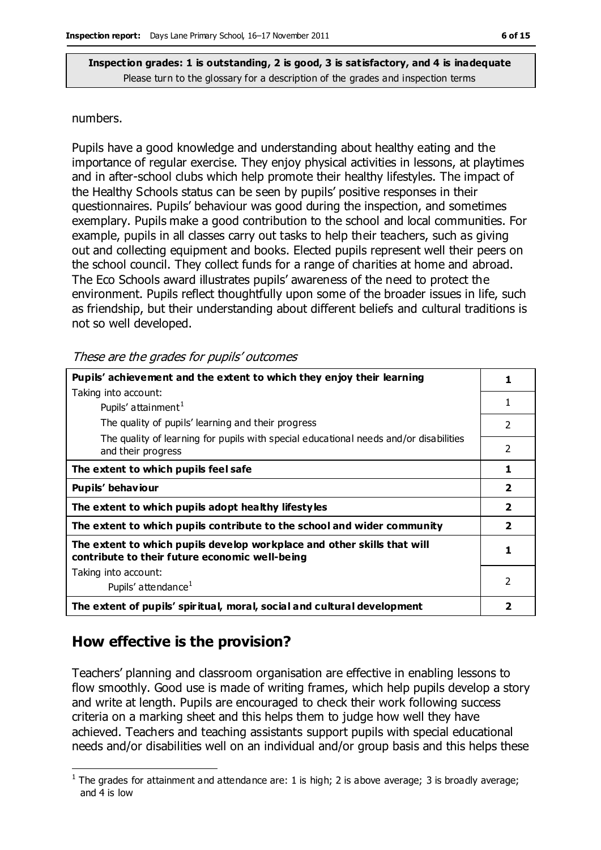#### numbers.

Pupils have a good knowledge and understanding about healthy eating and the importance of regular exercise. They enjoy physical activities in lessons, at playtimes and in after-school clubs which help promote their healthy lifestyles. The impact of the Healthy Schools status can be seen by pupils' positive responses in their questionnaires. Pupils' behaviour was good during the inspection, and sometimes exemplary. Pupils make a good contribution to the school and local communities. For example, pupils in all classes carry out tasks to help their teachers, such as giving out and collecting equipment and books. Elected pupils represent well their peers on the school council. They collect funds for a range of charities at home and abroad. The Eco Schools award illustrates pupils' awareness of the need to protect the environment. Pupils reflect thoughtfully upon some of the broader issues in life, such as friendship, but their understanding about different beliefs and cultural traditions is not so well developed.

These are the grades for pupils' outcomes

| Pupils' achievement and the extent to which they enjoy their learning                                                     |                          |
|---------------------------------------------------------------------------------------------------------------------------|--------------------------|
| Taking into account:                                                                                                      |                          |
| Pupils' attainment <sup>1</sup>                                                                                           | 1                        |
| The quality of pupils' learning and their progress                                                                        | $\overline{\phantom{0}}$ |
| The quality of learning for pupils with special educational needs and/or disabilities<br>and their progress               | $\overline{2}$           |
| The extent to which pupils feel safe                                                                                      | 1                        |
| Pupils' behaviour                                                                                                         | $\overline{2}$           |
| The extent to which pupils adopt healthy lifestyles                                                                       | $\overline{\mathbf{2}}$  |
| The extent to which pupils contribute to the school and wider community                                                   | $\overline{\mathbf{2}}$  |
| The extent to which pupils develop workplace and other skills that will<br>contribute to their future economic well-being |                          |
| Taking into account:                                                                                                      |                          |
| Pupils' attendance <sup>1</sup>                                                                                           | $\mathcal{P}$            |
| The extent of pupils' spiritual, moral, social and cultural development                                                   | 2                        |

#### **How effective is the provision?**

 $\overline{a}$ 

Teachers' planning and classroom organisation are effective in enabling lessons to flow smoothly. Good use is made of writing frames, which help pupils develop a story and write at length. Pupils are encouraged to check their work following success criteria on a marking sheet and this helps them to judge how well they have achieved. Teachers and teaching assistants support pupils with special educational needs and/or disabilities well on an individual and/or group basis and this helps these

 $<sup>1</sup>$  The grades for attainment and attendance are: 1 is high; 2 is above average; 3 is broadly average;</sup> and 4 is low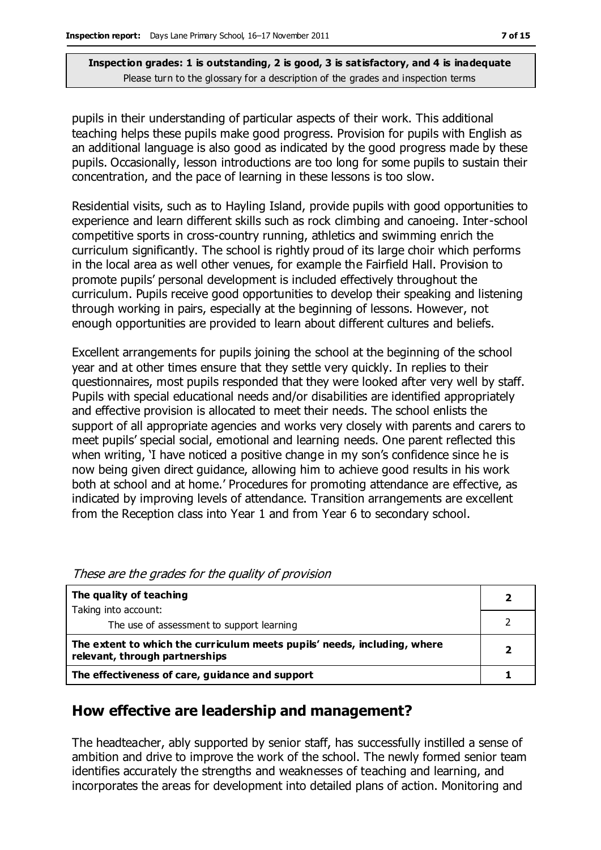pupils in their understanding of particular aspects of their work. This additional teaching helps these pupils make good progress. Provision for pupils with English as an additional language is also good as indicated by the good progress made by these pupils. Occasionally, lesson introductions are too long for some pupils to sustain their concentration, and the pace of learning in these lessons is too slow.

Residential visits, such as to Hayling Island, provide pupils with good opportunities to experience and learn different skills such as rock climbing and canoeing. Inter-school competitive sports in cross-country running, athletics and swimming enrich the curriculum significantly. The school is rightly proud of its large choir which performs in the local area as well other venues, for example the Fairfield Hall. Provision to promote pupils' personal development is included effectively throughout the curriculum. Pupils receive good opportunities to develop their speaking and listening through working in pairs, especially at the beginning of lessons. However, not enough opportunities are provided to learn about different cultures and beliefs.

Excellent arrangements for pupils joining the school at the beginning of the school year and at other times ensure that they settle very quickly. In replies to their questionnaires, most pupils responded that they were looked after very well by staff. Pupils with special educational needs and/or disabilities are identified appropriately and effective provision is allocated to meet their needs. The school enlists the support of all appropriate agencies and works very closely with parents and carers to meet pupils' special social, emotional and learning needs. One parent reflected this when writing, 'I have noticed a positive change in my son's confidence since he is now being given direct guidance, allowing him to achieve good results in his work both at school and at home.' Procedures for promoting attendance are effective, as indicated by improving levels of attendance. Transition arrangements are excellent from the Reception class into Year 1 and from Year 6 to secondary school.

| The quality of teaching                                                                                    |  |
|------------------------------------------------------------------------------------------------------------|--|
| Taking into account:                                                                                       |  |
| The use of assessment to support learning                                                                  |  |
| The extent to which the curriculum meets pupils' needs, including, where<br>relevant, through partnerships |  |
| The effectiveness of care, guidance and support                                                            |  |

These are the grades for the quality of provision

#### **How effective are leadership and management?**

The headteacher, ably supported by senior staff, has successfully instilled a sense of ambition and drive to improve the work of the school. The newly formed senior team identifies accurately the strengths and weaknesses of teaching and learning, and incorporates the areas for development into detailed plans of action. Monitoring and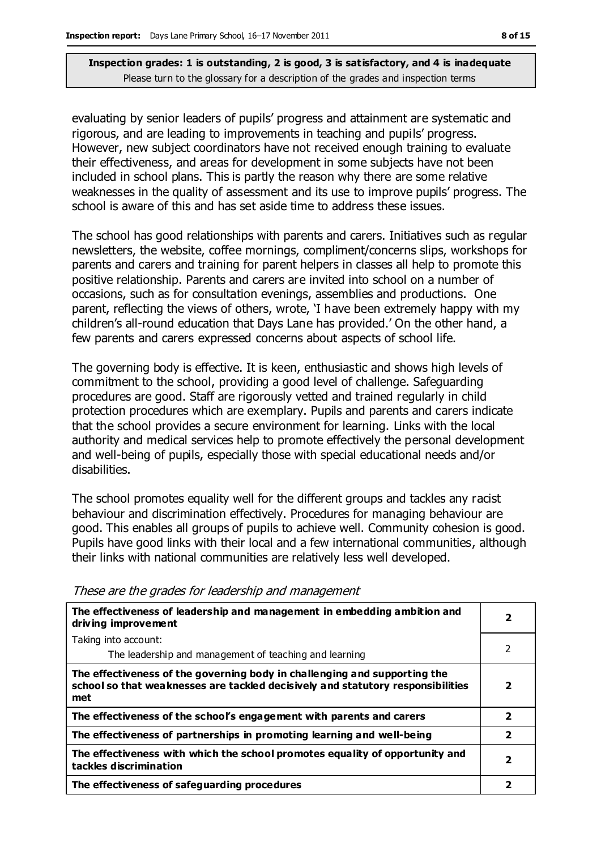evaluating by senior leaders of pupils' progress and attainment are systematic and rigorous, and are leading to improvements in teaching and pupils' progress. However, new subject coordinators have not received enough training to evaluate their effectiveness, and areas for development in some subjects have not been included in school plans. This is partly the reason why there are some relative weaknesses in the quality of assessment and its use to improve pupils' progress. The school is aware of this and has set aside time to address these issues.

The school has good relationships with parents and carers. Initiatives such as regular newsletters, the website, coffee mornings, compliment/concerns slips, workshops for parents and carers and training for parent helpers in classes all help to promote this positive relationship. Parents and carers are invited into school on a number of occasions, such as for consultation evenings, assemblies and productions. One parent, reflecting the views of others, wrote, 'I have been extremely happy with my children's all-round education that Days Lane has provided.' On the other hand, a few parents and carers expressed concerns about aspects of school life.

The governing body is effective. It is keen, enthusiastic and shows high levels of commitment to the school, providing a good level of challenge. Safeguarding procedures are good. Staff are rigorously vetted and trained regularly in child protection procedures which are exemplary. Pupils and parents and carers indicate that the school provides a secure environment for learning. Links with the local authority and medical services help to promote effectively the personal development and well-being of pupils, especially those with special educational needs and/or disabilities.

The school promotes equality well for the different groups and tackles any racist behaviour and discrimination effectively. Procedures for managing behaviour are good. This enables all groups of pupils to achieve well. Community cohesion is good. Pupils have good links with their local and a few international communities, although their links with national communities are relatively less well developed.

| The effectiveness of leadership and management in embedding ambition and<br>driving improvement                                                                     | 2              |
|---------------------------------------------------------------------------------------------------------------------------------------------------------------------|----------------|
| Taking into account:                                                                                                                                                |                |
| The leadership and management of teaching and learning                                                                                                              | 2              |
| The effectiveness of the governing body in challenging and supporting the<br>school so that weaknesses are tackled decisively and statutory responsibilities<br>met | 2              |
| The effectiveness of the school's engagement with parents and carers                                                                                                | $\overline{2}$ |
| The effectiveness of partnerships in promoting learning and well-being                                                                                              | $\overline{2}$ |
| The effectiveness with which the school promotes equality of opportunity and<br>tackles discrimination                                                              | 2              |
| The effectiveness of safeguarding procedures                                                                                                                        | 2              |

These are the grades for leadership and management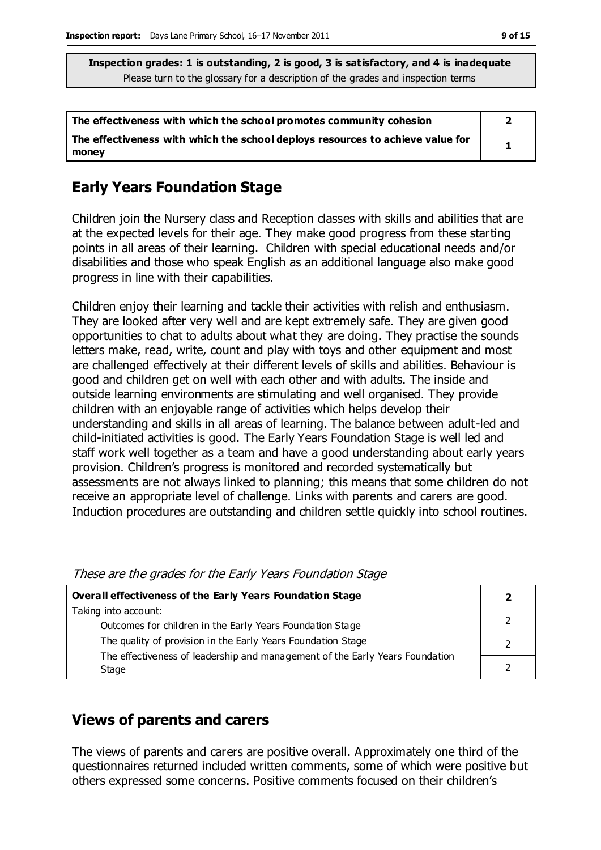| The effectiveness with which the school promotes community cohesion                     |  |
|-----------------------------------------------------------------------------------------|--|
| The effectiveness with which the school deploys resources to achieve value for<br>money |  |

#### **Early Years Foundation Stage**

Children join the Nursery class and Reception classes with skills and abilities that are at the expected levels for their age. They make good progress from these starting points in all areas of their learning. Children with special educational needs and/or disabilities and those who speak English as an additional language also make good progress in line with their capabilities.

Children enjoy their learning and tackle their activities with relish and enthusiasm. They are looked after very well and are kept extremely safe. They are given good opportunities to chat to adults about what they are doing. They practise the sounds letters make, read, write, count and play with toys and other equipment and most are challenged effectively at their different levels of skills and abilities. Behaviour is good and children get on well with each other and with adults. The inside and outside learning environments are stimulating and well organised. They provide children with an enjoyable range of activities which helps develop their understanding and skills in all areas of learning. The balance between adult-led and child-initiated activities is good. The Early Years Foundation Stage is well led and staff work well together as a team and have a good understanding about early years provision. Children's progress is monitored and recorded systematically but assessments are not always linked to planning; this means that some children do not receive an appropriate level of challenge. Links with parents and carers are good. Induction procedures are outstanding and children settle quickly into school routines.

These are the grades for the Early Years Foundation Stage

| <b>Overall effectiveness of the Early Years Foundation Stage</b>             |  |
|------------------------------------------------------------------------------|--|
| Taking into account:                                                         |  |
| Outcomes for children in the Early Years Foundation Stage                    |  |
| The quality of provision in the Early Years Foundation Stage                 |  |
| The effectiveness of leadership and management of the Early Years Foundation |  |
| Stage                                                                        |  |

#### **Views of parents and carers**

The views of parents and carers are positive overall. Approximately one third of the questionnaires returned included written comments, some of which were positive but others expressed some concerns. Positive comments focused on their children's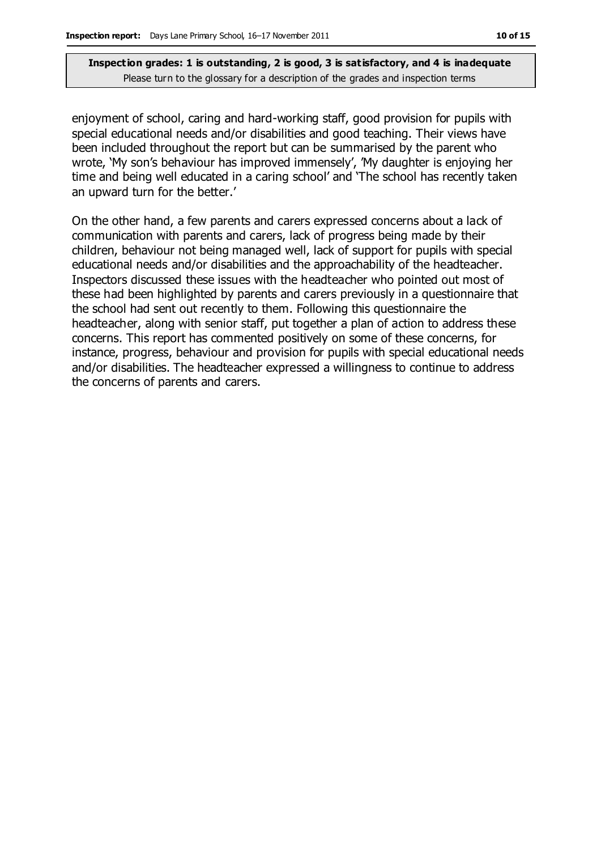enjoyment of school, caring and hard-working staff, good provision for pupils with special educational needs and/or disabilities and good teaching. Their views have been included throughout the report but can be summarised by the parent who wrote, 'My son's behaviour has improved immensely', 'My daughter is enjoying her time and being well educated in a caring school' and 'The school has recently taken an upward turn for the better.'

On the other hand, a few parents and carers expressed concerns about a lack of communication with parents and carers, lack of progress being made by their children, behaviour not being managed well, lack of support for pupils with special educational needs and/or disabilities and the approachability of the headteacher. Inspectors discussed these issues with the headteacher who pointed out most of these had been highlighted by parents and carers previously in a questionnaire that the school had sent out recently to them. Following this questionnaire the headteacher, along with senior staff, put together a plan of action to address these concerns. This report has commented positively on some of these concerns, for instance, progress, behaviour and provision for pupils with special educational needs and/or disabilities. The headteacher expressed a willingness to continue to address the concerns of parents and carers.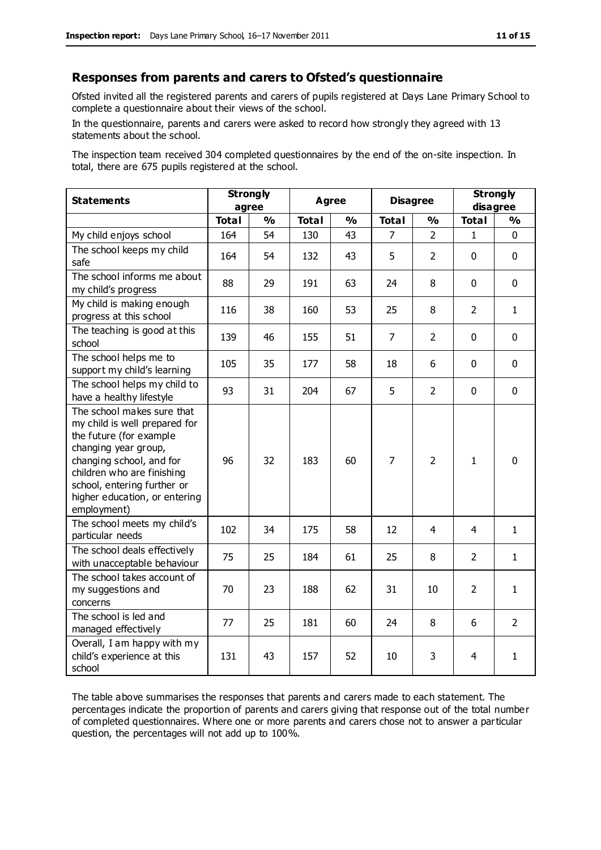#### **Responses from parents and carers to Ofsted's questionnaire**

Ofsted invited all the registered parents and carers of pupils registered at Days Lane Primary School to complete a questionnaire about their views of the school.

In the questionnaire, parents and carers were asked to record how strongly they agreed with 13 statements about the school.

The inspection team received 304 completed questionnaires by the end of the on-site inspection. In total, there are 675 pupils registered at the school.

| <b>Statements</b>                                                                                                                                                                                                                                       |              | <b>Strongly</b> |              | <b>Agree</b>  |                | <b>Disagree</b> |                | <b>Strongly</b> |  |
|---------------------------------------------------------------------------------------------------------------------------------------------------------------------------------------------------------------------------------------------------------|--------------|-----------------|--------------|---------------|----------------|-----------------|----------------|-----------------|--|
|                                                                                                                                                                                                                                                         |              | agree           |              |               |                |                 | disagree       |                 |  |
|                                                                                                                                                                                                                                                         | <b>Total</b> | $\frac{0}{0}$   | <b>Total</b> | $\frac{1}{2}$ | <b>Total</b>   | $\frac{0}{0}$   | <b>Total</b>   | $\frac{1}{2}$   |  |
| My child enjoys school                                                                                                                                                                                                                                  | 164          | 54              | 130          | 43            | 7              | $\mathcal{P}$   | 1.             | $\Omega$        |  |
| The school keeps my child<br>safe                                                                                                                                                                                                                       | 164          | 54              | 132          | 43            | 5              | $\overline{2}$  | $\mathbf{0}$   | $\mathbf 0$     |  |
| The school informs me about<br>my child's progress                                                                                                                                                                                                      | 88           | 29              | 191          | 63            | 24             | 8               | $\mathbf 0$    | $\mathbf 0$     |  |
| My child is making enough<br>progress at this school                                                                                                                                                                                                    | 116          | 38              | 160          | 53            | 25             | 8               | $\overline{2}$ | $\mathbf{1}$    |  |
| The teaching is good at this<br>school                                                                                                                                                                                                                  | 139          | 46              | 155          | 51            | $\overline{7}$ | $\overline{2}$  | $\mathbf 0$    | $\mathbf 0$     |  |
| The school helps me to<br>support my child's learning                                                                                                                                                                                                   | 105          | 35              | 177          | 58            | 18             | 6               | $\mathbf 0$    | $\mathbf 0$     |  |
| The school helps my child to<br>have a healthy lifestyle                                                                                                                                                                                                | 93           | 31              | 204          | 67            | 5              | $\overline{2}$  | $\mathbf 0$    | $\mathbf 0$     |  |
| The school makes sure that<br>my child is well prepared for<br>the future (for example<br>changing year group,<br>changing school, and for<br>children who are finishing<br>school, entering further or<br>higher education, or entering<br>employment) | 96           | 32              | 183          | 60            | $\overline{7}$ | $\overline{2}$  | $\mathbf{1}$   | $\mathbf 0$     |  |
| The school meets my child's<br>particular needs                                                                                                                                                                                                         | 102          | 34              | 175          | 58            | 12             | 4               | 4              | $\mathbf{1}$    |  |
| The school deals effectively<br>with unacceptable behaviour                                                                                                                                                                                             | 75           | 25              | 184          | 61            | 25             | 8               | $\overline{2}$ | 1               |  |
| The school takes account of<br>my suggestions and<br>concerns                                                                                                                                                                                           | 70           | 23              | 188          | 62            | 31             | 10              | $\overline{2}$ | $\mathbf{1}$    |  |
| The school is led and<br>managed effectively                                                                                                                                                                                                            | 77           | 25              | 181          | 60            | 24             | 8               | 6              | $\overline{2}$  |  |
| Overall, I am happy with my<br>child's experience at this<br>school                                                                                                                                                                                     | 131          | 43              | 157          | 52            | 10             | 3               | 4              | $\mathbf{1}$    |  |

The table above summarises the responses that parents and carers made to each statement. The percentages indicate the proportion of parents and carers giving that response out of the total number of completed questionnaires. Where one or more parents and carers chose not to answer a particular question, the percentages will not add up to 100%.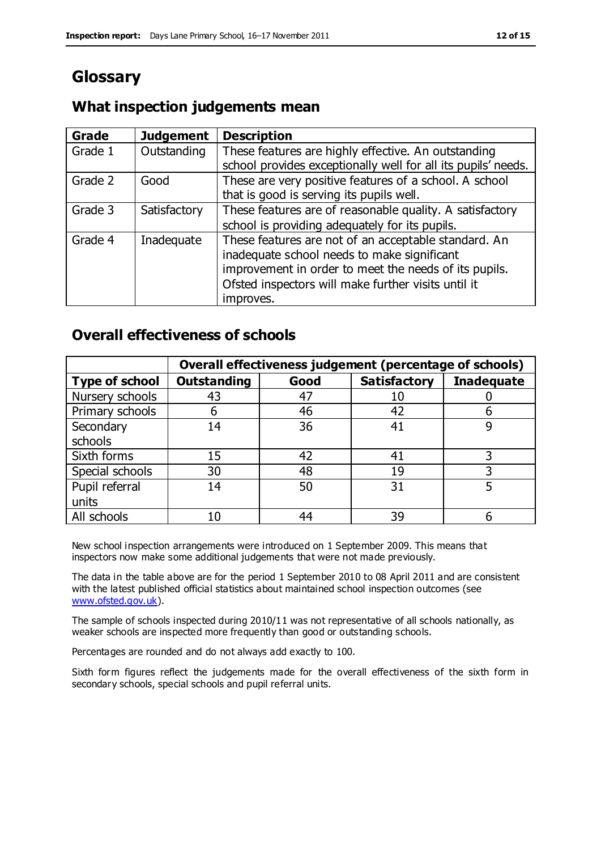# **Glossary**

#### **What inspection judgements mean**

| Grade   | <b>Judgement</b> | <b>Description</b>                                            |
|---------|------------------|---------------------------------------------------------------|
| Grade 1 | Outstanding      | These features are highly effective. An outstanding           |
|         |                  | school provides exceptionally well for all its pupils' needs. |
| Grade 2 | Good             | These are very positive features of a school. A school        |
|         |                  | that is good is serving its pupils well.                      |
| Grade 3 | Satisfactory     | These features are of reasonable quality. A satisfactory      |
|         |                  | school is providing adequately for its pupils.                |
| Grade 4 | Inadequate       | These features are not of an acceptable standard. An          |
|         |                  | inadequate school needs to make significant                   |
|         |                  | improvement in order to meet the needs of its pupils.         |
|         |                  | Ofsted inspectors will make further visits until it           |
|         |                  | improves.                                                     |

#### **Overall effectiveness of schools**

|                       |                    |      | Overall effectiveness judgement (percentage of schools) |                   |
|-----------------------|--------------------|------|---------------------------------------------------------|-------------------|
| <b>Type of school</b> | <b>Outstanding</b> | Good | <b>Satisfactory</b>                                     | <b>Inadequate</b> |
| Nursery schools       | 43                 | 47   | 10                                                      |                   |
| Primary schools       | h                  | 46   | 42                                                      |                   |
| Secondary             | 14                 | 36   | 41                                                      |                   |
| schools               |                    |      |                                                         |                   |
| Sixth forms           | 15                 | 42   | 41                                                      |                   |
| Special schools       | 30                 | 48   | 19                                                      |                   |
| Pupil referral        | 14                 | 50   | 31                                                      |                   |
| units                 |                    |      |                                                         |                   |
| All schools           | 10                 | 44   | 39                                                      |                   |

New school inspection arrangements were introduced on 1 September 2009. This means that inspectors now make some additional judgements that were not made previously.

The data in the table above are for the period 1 September 2010 to 08 April 2011 and are consistent with the latest published official statistics about maintained school inspection outcomes (see [www.ofsted.gov.uk\)](http://www.ofsted.gov.uk/).

The sample of schools inspected during 2010/11 was not representative of all schools nationally, as weaker schools are inspected more frequently than good or outstanding schools.

Percentages are rounded and do not always add exactly to 100.

Sixth form figures reflect the judgements made for the overall effectiveness of the sixth form in secondary schools, special schools and pupil referral units.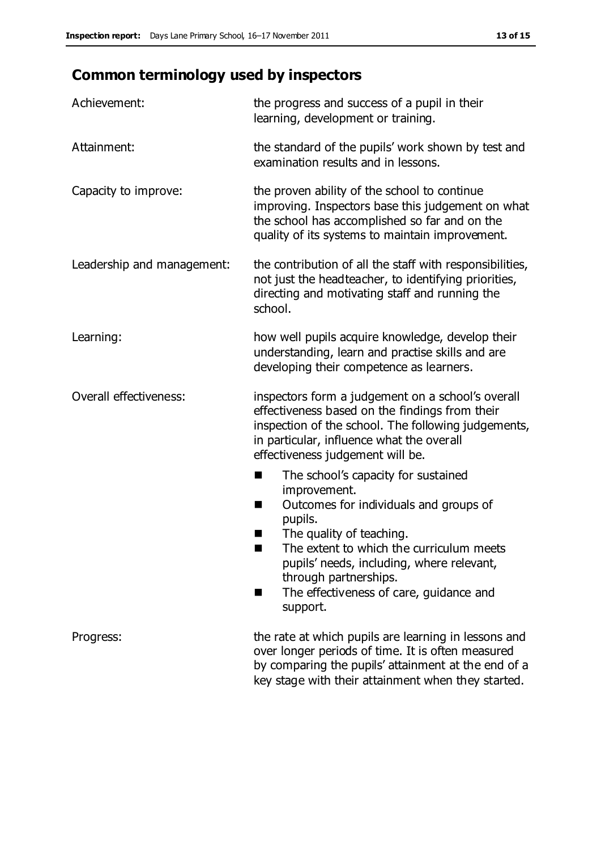# **Common terminology used by inspectors**

| Achievement:                  | the progress and success of a pupil in their<br>learning, development or training.                                                                                                                                                                                                                                             |  |
|-------------------------------|--------------------------------------------------------------------------------------------------------------------------------------------------------------------------------------------------------------------------------------------------------------------------------------------------------------------------------|--|
| Attainment:                   | the standard of the pupils' work shown by test and<br>examination results and in lessons.                                                                                                                                                                                                                                      |  |
| Capacity to improve:          | the proven ability of the school to continue<br>improving. Inspectors base this judgement on what<br>the school has accomplished so far and on the<br>quality of its systems to maintain improvement.                                                                                                                          |  |
| Leadership and management:    | the contribution of all the staff with responsibilities,<br>not just the headteacher, to identifying priorities,<br>directing and motivating staff and running the<br>school.                                                                                                                                                  |  |
| Learning:                     | how well pupils acquire knowledge, develop their<br>understanding, learn and practise skills and are<br>developing their competence as learners.                                                                                                                                                                               |  |
| <b>Overall effectiveness:</b> | inspectors form a judgement on a school's overall<br>effectiveness based on the findings from their<br>inspection of the school. The following judgements,<br>in particular, influence what the overall<br>effectiveness judgement will be.                                                                                    |  |
|                               | The school's capacity for sustained<br>improvement.<br>Outcomes for individuals and groups of<br>ш<br>pupils.<br>The quality of teaching.<br>The extent to which the curriculum meets<br>a s<br>pupils' needs, including, where relevant,<br>through partnerships.<br>The effectiveness of care, guidance and<br>٠<br>support. |  |
| Progress:                     | the rate at which pupils are learning in lessons and<br>over longer periods of time. It is often measured<br>by comparing the pupils' attainment at the end of a<br>key stage with their attainment when they started.                                                                                                         |  |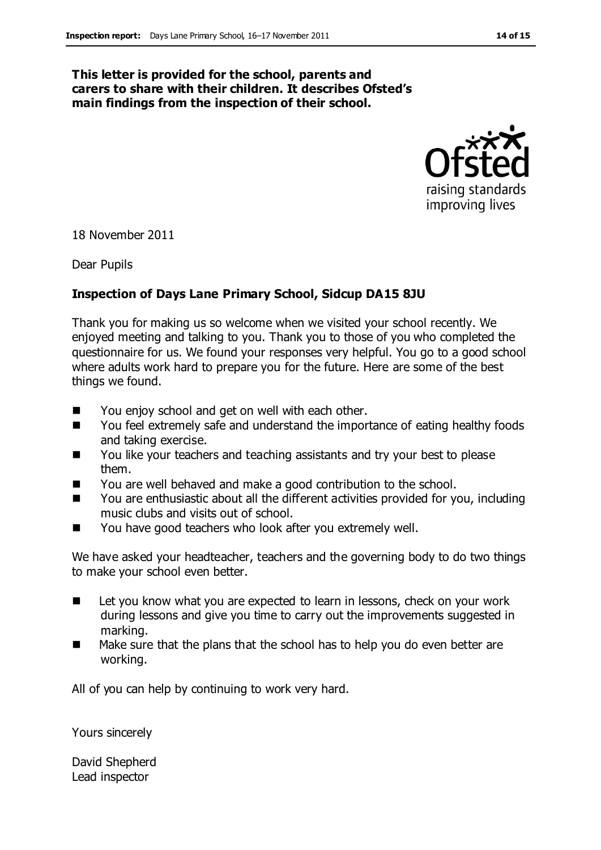#### **This letter is provided for the school, parents and carers to share with their children. It describes Ofsted's main findings from the inspection of their school.**



18 November 2011

Dear Pupils

#### **Inspection of Days Lane Primary School, Sidcup DA15 8JU**

Thank you for making us so welcome when we visited your school recently. We enjoyed meeting and talking to you. Thank you to those of you who completed the questionnaire for us. We found your responses very helpful. You go to a good school where adults work hard to prepare you for the future. Here are some of the best things we found.

- You enjoy school and get on well with each other.
- You feel extremely safe and understand the importance of eating healthy foods and taking exercise.
- You like your teachers and teaching assistants and try your best to please them.
- You are well behaved and make a good contribution to the school.
- You are enthusiastic about all the different activities provided for you, including music clubs and visits out of school.
- You have good teachers who look after you extremely well.

We have asked your headteacher, teachers and the governing body to do two things to make your school even better.

- Let you know what you are expected to learn in lessons, check on your work during lessons and give you time to carry out the improvements suggested in marking.
- Make sure that the plans that the school has to help you do even better are working.

All of you can help by continuing to work very hard.

Yours sincerely

David Shepherd Lead inspector